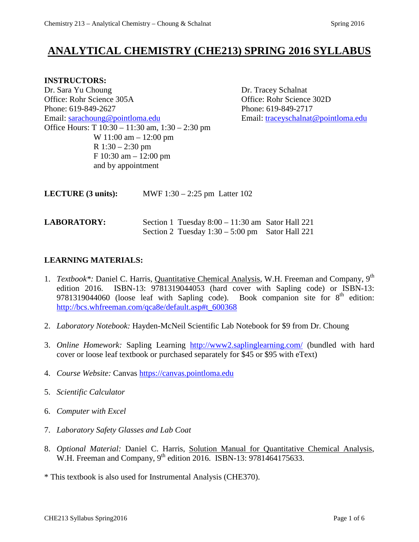# **ANALYTICAL CHEMISTRY (CHE213) SPRING 2016 SYLLABUS**

#### **INSTRUCTORS:**

Dr. Sara Yu Choung Dr. Tracey Schalnat Office: Rohr Science 305A Office: Rohr Science 302D Phone: 619-849-2627 Phone: 619-849-2717 Email: [sarachoung@pointloma.edu](mailto:sarachoung@pointloma.edu) Email: [traceyschalnat@pointloma.edu](mailto:traceyschalnat@pointloma.edu) Office Hours: T 10:30 – 11:30 am, 1:30 – 2:30 pm W 11:00 am – 12:00 pm R 1:30 – 2:30 pm F 10:30 am – 12:00 pm and by appointment

| <b>LECTURE</b> (3 units): | MWF $1:30 - 2:25$ pm Latter 102                                                                         |  |  |
|---------------------------|---------------------------------------------------------------------------------------------------------|--|--|
| <b>LABORATORY:</b>        | Section 1 Tuesday $8:00 - 11:30$ am Sator Hall 221<br>Section 2 Tuesday $1:30 - 5:00$ pm Sator Hall 221 |  |  |

## **LEARNING MATERIALS:**

- 1. *Textbook\**: Daniel C. Harris, Quantitative Chemical Analysis, W.H. Freeman and Company, 9<sup>th</sup> edition 2016. ISBN-13: 9781319044053 (hard cover with Sapling code) or ISBN-13: 9781319044060 (loose leaf with Sapling code). Book companion site for  $8<sup>th</sup>$  edition: [http://bcs.whfreeman.com/qca8e/default.asp#t\\_600368](http://bcs.whfreeman.com/qca8e/default.asp#t_600368)
- 2. *Laboratory Notebook:* Hayden-McNeil Scientific Lab Notebook for \$9 from Dr. Choung
- 3. *Online Homework:* Sapling Learning <http://www2.saplinglearning.com/> (bundled with hard cover or loose leaf textbook or purchased separately for \$45 or \$95 with eText)
- 4. *Course Website:* Canvas [https://canvas.pointloma.edu](https://canvas.pointloma.edu/)
- 5. *Scientific Calculator*
- 6. *Computer with Excel*
- 7. *Laboratory Safety Glasses and Lab Coat*
- 8. *Optional Material:* Daniel C. Harris, Solution Manual for Quantitative Chemical Analysis, W.H. Freeman and Company,  $9<sup>th</sup>$  edition 2016. ISBN-13: 9781464175633.

\* This textbook is also used for Instrumental Analysis (CHE370).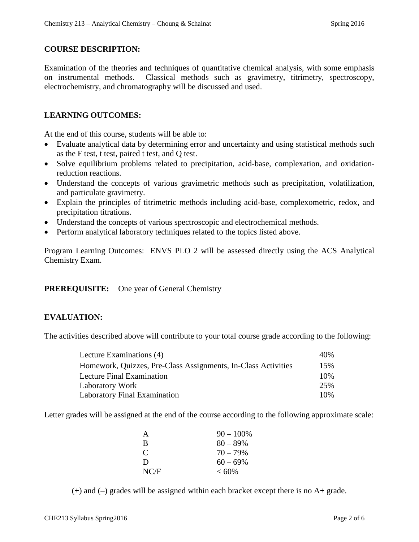#### **COURSE DESCRIPTION:**

Examination of the theories and techniques of quantitative chemical analysis, with some emphasis on instrumental methods. Classical methods such as gravimetry, titrimetry, spectroscopy, electrochemistry, and chromatography will be discussed and used.

### **LEARNING OUTCOMES:**

At the end of this course, students will be able to:

- Evaluate analytical data by determining error and uncertainty and using statistical methods such as the F test, t test, paired t test, and Q test.
- Solve equilibrium problems related to precipitation, acid-base, complexation, and oxidationreduction reactions.
- Understand the concepts of various gravimetric methods such as precipitation, volatilization, and particulate gravimetry.
- Explain the principles of titrimetric methods including acid-base, complexometric, redox, and precipitation titrations.
- Understand the concepts of various spectroscopic and electrochemical methods.
- Perform analytical laboratory techniques related to the topics listed above.

Program Learning Outcomes: ENVS PLO 2 will be assessed directly using the ACS Analytical Chemistry Exam.

#### **PREREQUISITE:** One year of General Chemistry

## **EVALUATION:**

The activities described above will contribute to your total course grade according to the following:

| Lecture Examinations (4)                                      | 40% |
|---------------------------------------------------------------|-----|
| Homework, Quizzes, Pre-Class Assignments, In-Class Activities | 15% |
| Lecture Final Examination                                     | 10% |
| Laboratory Work                                               | 25% |
| Laboratory Final Examination                                  | 10% |

Letter grades will be assigned at the end of the course according to the following approximate scale:

| A                           | $90 - 100\%$ |
|-----------------------------|--------------|
| B                           | $80 - 89\%$  |
| $\mathcal{C}_{\mathcal{C}}$ | $70 - 79\%$  |
| D                           | $60 - 69\%$  |
| NC/F                        | $< 60\%$     |

(+) and (–) grades will be assigned within each bracket except there is no A+ grade.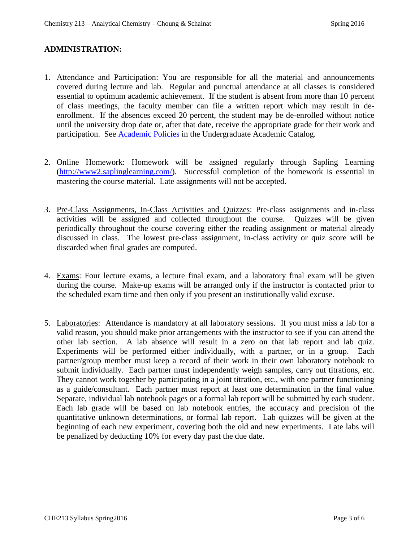#### **ADMINISTRATION:**

- 1. Attendance and Participation: You are responsible for all the material and announcements covered during lecture and lab. Regular and punctual attendance at all classes is considered essential to optimum academic achievement. If the student is absent from more than 10 percent of class meetings, the faculty member can file a written report which may result in deenrollment. If the absences exceed 20 percent, the student may be de-enrolled without notice until the university drop date or, after that date, receive the appropriate grade for their work and participation. See [Academic Policies](http://catalog.pointloma.edu/content.php?catoid=18&navoid=1278) in the Undergraduate Academic Catalog.
- 2. Online Homework: Homework will be assigned regularly through Sapling Learning [\(http://www2.saplinglearning.com/\)](http://www2.saplinglearning.com/). Successful completion of the homework is essential in mastering the course material. Late assignments will not be accepted.
- 3. Pre-Class Assignments, In-Class Activities and Quizzes: Pre-class assignments and in-class activities will be assigned and collected throughout the course. Quizzes will be given periodically throughout the course covering either the reading assignment or material already discussed in class. The lowest pre-class assignment, in-class activity or quiz score will be discarded when final grades are computed.
- 4. Exams: Four lecture exams, a lecture final exam, and a laboratory final exam will be given during the course. Make-up exams will be arranged only if the instructor is contacted prior to the scheduled exam time and then only if you present an institutionally valid excuse.
- 5. Laboratories: Attendance is mandatory at all laboratory sessions. If you must miss a lab for a valid reason, you should make prior arrangements with the instructor to see if you can attend the other lab section. A lab absence will result in a zero on that lab report and lab quiz. Experiments will be performed either individually, with a partner, or in a group. Each partner/group member must keep a record of their work in their own laboratory notebook to submit individually. Each partner must independently weigh samples, carry out titrations, etc. They cannot work together by participating in a joint titration, etc., with one partner functioning as a guide/consultant. Each partner must report at least one determination in the final value. Separate, individual lab notebook pages or a formal lab report will be submitted by each student. Each lab grade will be based on lab notebook entries, the accuracy and precision of the quantitative unknown determinations, or formal lab report. Lab quizzes will be given at the beginning of each new experiment, covering both the old and new experiments. Late labs will be penalized by deducting 10% for every day past the due date.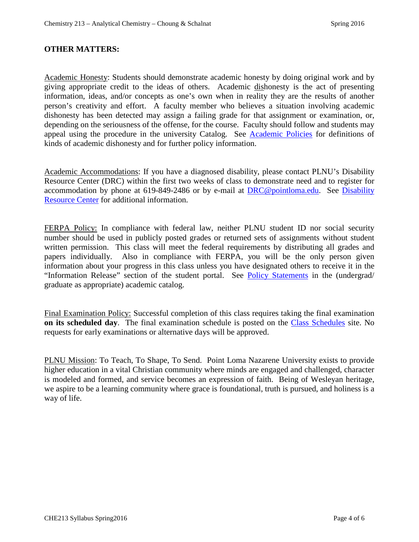#### **OTHER MATTERS:**

Academic Honesty: Students should demonstrate academic honesty by doing original work and by giving appropriate credit to the ideas of others. Academic dishonesty is the act of presenting information, ideas, and/or concepts as one's own when in reality they are the results of another person's creativity and effort. A faculty member who believes a situation involving academic dishonesty has been detected may assign a failing grade for that assignment or examination, or, depending on the seriousness of the offense, for the course. Faculty should follow and students may appeal using the procedure in the university Catalog. See [Academic Policies](http://catalog.pointloma.edu/content.php?catoid=18&navoid=1278) for definitions of kinds of academic dishonesty and for further policy information.

Academic Accommodations: If you have a diagnosed disability, please contact PLNU's Disability Resource Center (DRC) within the first two weeks of class to demonstrate need and to register for accommodation by phone at 619-849-2486 or by e-mail at [DRC@pointloma.edu.](mailto:DRC@pointloma.edu) See [Disability](http://www.pointloma.edu/experience/offices/administrative-offices/academic-advising-office/disability-resource-center)  [Resource Center](http://www.pointloma.edu/experience/offices/administrative-offices/academic-advising-office/disability-resource-center) for additional information.

FERPA Policy: In compliance with federal law, neither PLNU student ID nor social security number should be used in publicly posted grades or returned sets of assignments without student written permission. This class will meet the federal requirements by distributing all grades and papers individually. Also in compliance with FERPA, you will be the only person given information about your progress in this class unless you have designated others to receive it in the "Information Release" section of the student portal. See [Policy Statements](http://catalog.pointloma.edu/content.php?catoid=18&navoid=1278) in the (undergrad/ graduate as appropriate) academic catalog.

Final Examination Policy: Successful completion of this class requires taking the final examination **on its scheduled day**. The final examination schedule is posted on the [Class Schedules](http://www.pointloma.edu/sites/default/files/filemanager/Academic_Affairs/Schedules/Final_Exam_Schedule_2015-2016.pdf) site. No requests for early examinations or alternative days will be approved.

PLNU Mission: To Teach, To Shape, To Send. Point Loma Nazarene University exists to provide higher education in a vital Christian community where minds are engaged and challenged, character is modeled and formed, and service becomes an expression of faith. Being of Wesleyan heritage, we aspire to be a learning community where grace is foundational, truth is pursued, and holiness is a way of life.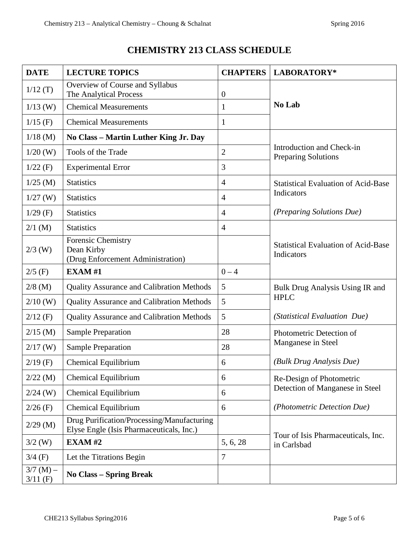## **CHEMISTRY 213 CLASS SCHEDULE**

| <b>DATE</b>               | <b>LECTURE TOPICS</b>                                                                  | <b>CHAPTERS</b>  | LABORATORY*                                                 |  |
|---------------------------|----------------------------------------------------------------------------------------|------------------|-------------------------------------------------------------|--|
| 1/12(T)                   | Overview of Course and Syllabus<br>The Analytical Process                              | $\boldsymbol{0}$ | No Lab                                                      |  |
| $1/13$ (W)                | <b>Chemical Measurements</b>                                                           | $\mathbf{1}$     |                                                             |  |
| $1/15$ (F)                | <b>Chemical Measurements</b>                                                           | 1                |                                                             |  |
| $1/18$ (M)                | No Class - Martin Luther King Jr. Day                                                  |                  |                                                             |  |
| $1/20$ (W)                | Tools of the Trade                                                                     | $\overline{2}$   | Introduction and Check-in<br>Preparing Solutions            |  |
| $1/22$ (F)                | <b>Experimental Error</b>                                                              | 3                |                                                             |  |
| $1/25$ (M)                | <b>Statistics</b>                                                                      | $\overline{4}$   | <b>Statistical Evaluation of Acid-Base</b>                  |  |
| $1/27$ (W)                | <b>Statistics</b>                                                                      | $\overline{4}$   | Indicators                                                  |  |
| $1/29$ (F)                | <b>Statistics</b>                                                                      | $\overline{4}$   | (Preparing Solutions Due)                                   |  |
| $2/1$ (M)                 | <b>Statistics</b>                                                                      | $\overline{4}$   |                                                             |  |
| $2/3$ (W)                 | <b>Forensic Chemistry</b><br>Dean Kirby<br>(Drug Enforcement Administration)           |                  | <b>Statistical Evaluation of Acid-Base</b><br>Indicators    |  |
| $2/5$ (F)                 | EXAM#1                                                                                 | $0 - 4$          |                                                             |  |
| $2/8$ (M)                 | <b>Quality Assurance and Calibration Methods</b>                                       | 5                | Bulk Drug Analysis Using IR and<br><b>HPLC</b>              |  |
| $2/10$ (W)                | <b>Quality Assurance and Calibration Methods</b>                                       | 5                |                                                             |  |
| $2/12$ (F)                | <b>Quality Assurance and Calibration Methods</b>                                       | 5                | (Statistical Evaluation Due)                                |  |
| $2/15$ (M)                | <b>Sample Preparation</b>                                                              | 28               | Photometric Detection of                                    |  |
| $2/17$ (W)                | <b>Sample Preparation</b>                                                              | 28               | Manganese in Steel                                          |  |
| $2/19$ (F)                | Chemical Equilibrium                                                                   | 6                | (Bulk Drug Analysis Due)                                    |  |
| $2/22$ (M)                | Chemical Equilibrium                                                                   | 6                | Re-Design of Photometric<br>Detection of Manganese in Steel |  |
| $2/24$ (W)                | <b>Chemical Equilibrium</b>                                                            | 6                |                                                             |  |
| $2/26$ (F)                | Chemical Equilibrium                                                                   | 6                | (Photometric Detection Due)                                 |  |
| $2/29$ (M)                | Drug Purification/Processing/Manufacturing<br>Elyse Engle (Isis Pharmaceuticals, Inc.) |                  | Tour of Isis Pharmaceuticals, Inc.<br>in Carlsbad           |  |
| $3/2$ (W)                 | <b>EXAM#2</b>                                                                          | 5, 6, 28         |                                                             |  |
| $3/4$ (F)                 | Let the Titrations Begin                                                               | 7                |                                                             |  |
| $3/7$ (M) –<br>$3/11$ (F) | <b>No Class - Spring Break</b>                                                         |                  |                                                             |  |